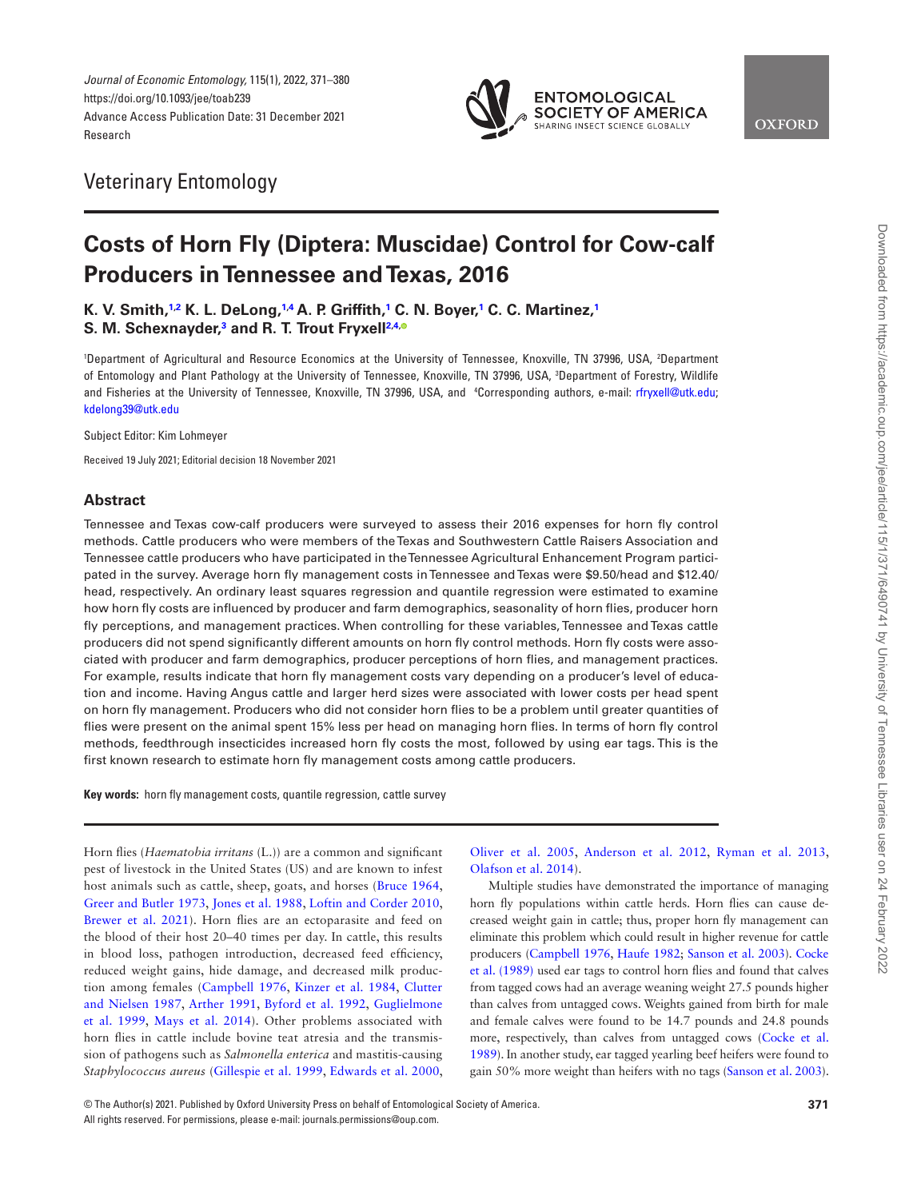

## Veterinary Entomology

# **Costs of Horn Fly (Diptera: Muscidae) Control for Cow-calf Producers in Tennessee and Texas, 2016**

**K. V. Smith,[1](#page-0-0),[2](#page-0-1) K. L. DeLong,[1,](#page-0-0)[4](#page-0-2) A. P. Griffith,[1](#page-0-0) C. N. Boyer[,1](#page-0-0) C. C. Martinez,[1](#page-0-0) S. M. Schexnayder,[3](#page-0-3) and R. T. Trout Fryxell[2](#page-0-1),[4](#page-0-2)[,](https://orcid.org/0000-0003-2133-0220)**

<span id="page-0-3"></span><span id="page-0-2"></span><span id="page-0-1"></span><span id="page-0-0"></span>'Department of Agricultural and Resource Economics at the University of Tennessee, Knoxville, TN 37996, USA, 2Department of Entomology and Plant Pathology at the University of Tennessee, Knoxville, TN 37996, USA, 3 Department of Forestry, Wildlife and Fisheries at the University of Tennessee, Knoxville, TN 37996, USA, and 4 Corresponding authors, e-mail: [rfryxell@utk.edu;](mailto:rfryxell@utk.edu?subject=) [kdelong39@utk.edu](mailto:kdelong39@utk.edu?subject=)

Subject Editor: Kim Lohmeyer

Received 19 July 2021; Editorial decision 18 November 2021

## **Abstract**

Tennessee and Texas cow-calf producers were surveyed to assess their 2016 expenses for horn fly control methods. Cattle producers who were members of the Texas and Southwestern Cattle Raisers Association and Tennessee cattle producers who have participated in the Tennessee Agricultural Enhancement Program participated in the survey. Average horn fly management costs in Tennessee and Texas were \$9.50/head and \$12.40/ head, respectively. An ordinary least squares regression and quantile regression were estimated to examine how horn fly costs are influenced by producer and farm demographics, seasonality of horn flies, producer horn fly perceptions, and management practices. When controlling for these variables, Tennessee and Texas cattle producers did not spend significantly different amounts on horn fly control methods. Horn fly costs were associated with producer and farm demographics, producer perceptions of horn flies, and management practices. For example, results indicate that horn fly management costs vary depending on a producer's level of education and income. Having Angus cattle and larger herd sizes were associated with lower costs per head spent on horn fly management. Producers who did not consider horn flies to be a problem until greater quantities of flies were present on the animal spent 15% less per head on managing horn flies. In terms of horn fly control methods, feedthrough insecticides increased horn fly costs the most, followed by using ear tags. This is the first known research to estimate horn fly management costs among cattle producers.

**Key words:** horn fly management costs, quantile regression, cattle survey

Horn flies (*Haematobia irritans* (L.)) are a common and significant pest of livestock in the United States (US) and are known to infest host animals such as cattle, sheep, goats, and horses ([Bruce 1964,](#page-8-0) [Greer and Butler 1973](#page-8-1), [Jones et al. 1988](#page-8-2), [Loftin and Corder 2010,](#page-8-3) Brewer et al. 2021). Horn flies are an ectoparasite and feed on the blood of their host 20–40 times per day. In cattle, this results in blood loss, pathogen introduction, decreased feed efficiency, reduced weight gains, hide damage, and decreased milk production among females ([Campbell 1976](#page-8-5), [Kinzer et al. 1984](#page-8-6), [Clutter](#page-8-7)  [and Nielsen 1987](#page-8-7), [Arther 1991,](#page-8-8) [Byford et al. 1992,](#page-8-9) [Guglielmone](#page-8-10)  [et al. 1999,](#page-8-10) [Mays et al. 2014\)](#page-8-11). Other problems associated with horn flies in cattle include bovine teat atresia and the transmission of pathogens such as *Salmonella enterica* and mastitis-causing *Staphylococcus aureus* [\(Gillespie et al. 1999,](#page-8-12) [Edwards et al. 2000,](#page-8-13) [Oliver et al. 2005,](#page-8-14) [Anderson et al. 2012](#page-8-15), [Ryman et al. 2013,](#page-8-16) [Olafson et al. 2014\)](#page-8-17).

Multiple studies have demonstrated the importance of managing horn fly populations within cattle herds. Horn flies can cause decreased weight gain in cattle; thus, proper horn fly management can eliminate this problem which could result in higher revenue for cattle producers [\(Campbell 1976](#page-8-5), [Haufe 1982;](#page-8-18) [Sanson et al. 2003](#page-9-0)). [Cocke](#page-8-19)  [et al. \(1989\)](#page-8-19) used ear tags to control horn flies and found that calves from tagged cows had an average weaning weight 27.5 pounds higher than calves from untagged cows. Weights gained from birth for male and female calves were found to be 14.7 pounds and 24.8 pounds more, respectively, than calves from untagged cows [\(Cocke et al.](#page-8-19)  [1989](#page-8-19)). In another study, ear tagged yearling beef heifers were found to gain 50% more weight than heifers with no tags [\(Sanson et al. 2003](#page-9-0)). Downloaded from https://academic.oup.com/jee/article/115/1/371/6490741 by University of Tennessee Libraries user on 24 February 2022

<sup>©</sup> The Author(s) 2021. Published by Oxford University Press on behalf of Entomological Society of America. **371** All rights reserved. For permissions, please e-mail: journals.permissions@oup.com.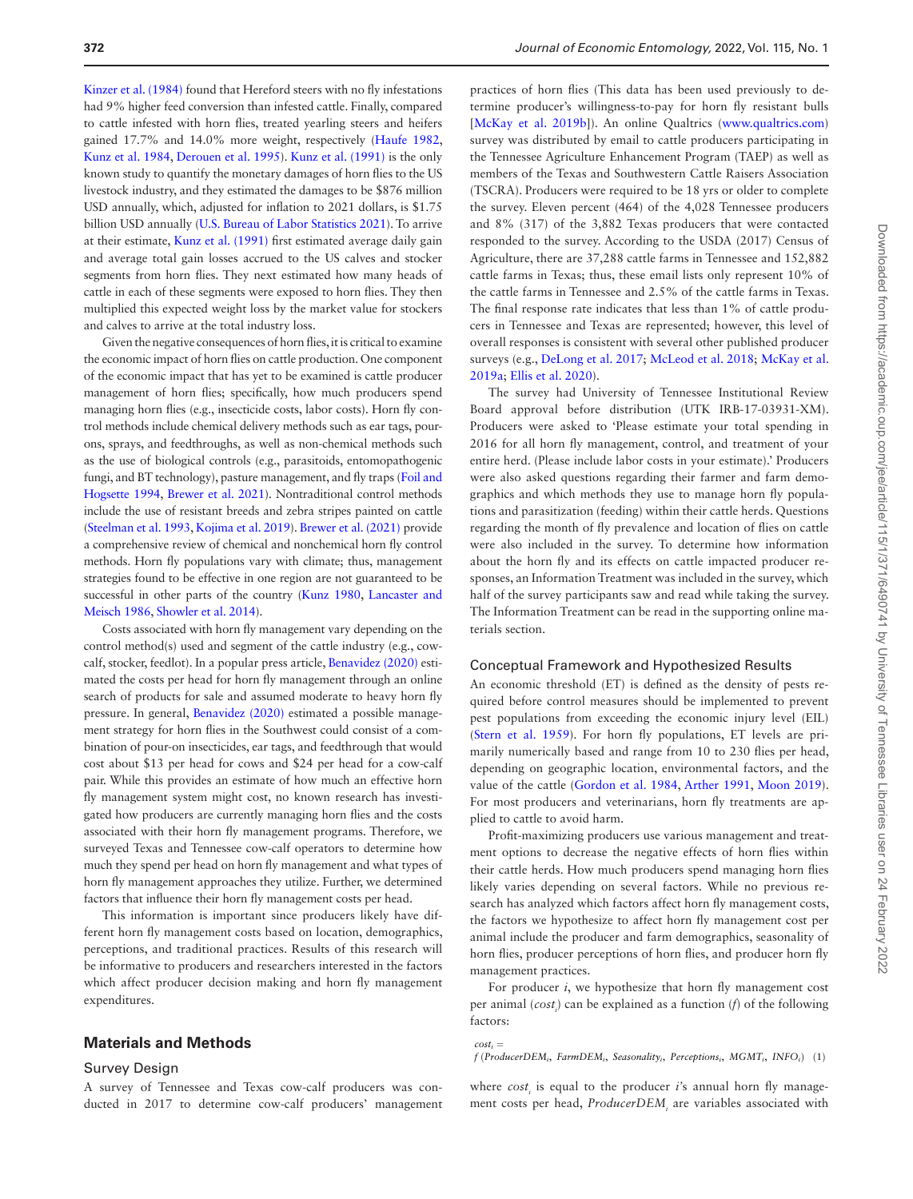[Kinzer et al. \(1984\)](#page-8-6) found that Hereford steers with no fly infestations had 9% higher feed conversion than infested cattle. Finally, compared to cattle infested with horn flies, treated yearling steers and heifers gained 17.7% and 14.0% more weight, respectively ([Haufe 1982,](#page-8-18) [Kunz et al. 1984,](#page-8-20) [Derouen et al. 1995\)](#page-8-21). [Kunz et al. \(1991\)](#page-8-22) is the only known study to quantify the monetary damages of horn flies to the US livestock industry, and they estimated the damages to be \$876 million USD annually, which, adjusted for inflation to 2021 dollars, is \$1.75 billion USD annually ([U.S. Bureau of Labor Statistics 2021\)](#page-9-1). To arrive at their estimate, [Kunz et al. \(1991\)](#page-8-22) first estimated average daily gain and average total gain losses accrued to the US calves and stocker segments from horn flies. They next estimated how many heads of cattle in each of these segments were exposed to horn flies. They then multiplied this expected weight loss by the market value for stockers and calves to arrive at the total industry loss.

Given the negative consequences of horn flies, it is critical to examine the economic impact of horn flies on cattle production. One component of the economic impact that has yet to be examined is cattle producer management of horn flies; specifically, how much producers spend managing horn flies (e.g., insecticide costs, labor costs). Horn fly control methods include chemical delivery methods such as ear tags, pourons, sprays, and feedthroughs, as well as non-chemical methods such as the use of biological controls (e.g., parasitoids, entomopathogenic fungi, and BT technology), pasture management, and fly traps [\(Foil and](#page-8-23)  [Hogsette 1994,](#page-8-23) [Brewer et al. 2021\)](#page-8-4). Nontraditional control methods include the use of resistant breeds and zebra stripes painted on cattle [\(Steelman et al. 1993](#page-9-2), [Kojima et al. 2019](#page-8-24)). [Brewer et al. \(2021\)](#page-8-4) provide a comprehensive review of chemical and nonchemical horn fly control methods. Horn fly populations vary with climate; thus, management strategies found to be effective in one region are not guaranteed to be successful in other parts of the country ([Kunz 1980](#page-8-25), [Lancaster and](#page-8-26)  [Meisch 1986](#page-8-26), [Showler et al. 2014\)](#page-9-3).

Costs associated with horn fly management vary depending on the control method(s) used and segment of the cattle industry (e.g., cowcalf, stocker, feedlot). In a popular press article, [Benavidez \(2020\)](#page-8-27) estimated the costs per head for horn fly management through an online search of products for sale and assumed moderate to heavy horn fly pressure. In general, [Benavidez \(2020\)](#page-8-27) estimated a possible management strategy for horn flies in the Southwest could consist of a combination of pour-on insecticides, ear tags, and feedthrough that would cost about \$13 per head for cows and \$24 per head for a cow-calf pair. While this provides an estimate of how much an effective horn fly management system might cost, no known research has investigated how producers are currently managing horn flies and the costs associated with their horn fly management programs. Therefore, we surveyed Texas and Tennessee cow-calf operators to determine how much they spend per head on horn fly management and what types of horn fly management approaches they utilize. Further, we determined factors that influence their horn fly management costs per head.

This information is important since producers likely have different horn fly management costs based on location, demographics, perceptions, and traditional practices. Results of this research will be informative to producers and researchers interested in the factors which affect producer decision making and horn fly management expenditures.

## **Materials and Methods**

## Survey Design

A survey of Tennessee and Texas cow-calf producers was conducted in 2017 to determine cow-calf producers' management

practices of horn flies (This data has been used previously to determine producer's willingness-to-pay for horn fly resistant bulls [McKay et al. 2019b]). An online Qualtrics [\(www.qualtrics.com\)](http://www.qualtrics.com) survey was distributed by email to cattle producers participating in the Tennessee Agriculture Enhancement Program (TAEP) as well as members of the Texas and Southwestern Cattle Raisers Association (TSCRA). Producers were required to be 18 yrs or older to complete the survey. Eleven percent (464) of the 4,028 Tennessee producers and 8% (317) of the 3,882 Texas producers that were contacted responded to the survey. According to the USDA (2017) Census of Agriculture, there are 37,288 cattle farms in Tennessee and 152,882 cattle farms in Texas; thus, these email lists only represent 10% of the cattle farms in Tennessee and 2.5% of the cattle farms in Texas. The final response rate indicates that less than 1% of cattle producers in Tennessee and Texas are represented; however, this level of overall responses is consistent with several other published producer surveys (e.g., [DeLong et al. 2017;](#page-8-29) [McLeod et al. 2018;](#page-8-30) [McKay et al.](#page-8-31)  [2019a](#page-8-31); [Ellis et al. 2020](#page-8-32)).

The survey had University of Tennessee Institutional Review Board approval before distribution (UTK IRB-17-03931-XM). Producers were asked to 'Please estimate your total spending in 2016 for all horn fly management, control, and treatment of your entire herd. (Please include labor costs in your estimate).' Producers were also asked questions regarding their farmer and farm demographics and which methods they use to manage horn fly populations and parasitization (feeding) within their cattle herds. Questions regarding the month of fly prevalence and location of flies on cattle were also included in the survey. To determine how information about the horn fly and its effects on cattle impacted producer responses, an Information Treatment was included in the survey, which half of the survey participants saw and read while taking the survey. The Information Treatment can be read in the supporting online materials section.

#### Conceptual Framework and Hypothesized Results

An economic threshold (ET) is defined as the density of pests required before control measures should be implemented to prevent pest populations from exceeding the economic injury level (EIL) [\(Stern et al. 1959\)](#page-9-4). For horn fly populations, ET levels are primarily numerically based and range from 10 to 230 flies per head, depending on geographic location, environmental factors, and the value of the cattle ([Gordon et al. 1984](#page-8-33), [Arther 1991,](#page-8-8) [Moon 2019](#page-8-34)). For most producers and veterinarians, horn fly treatments are applied to cattle to avoid harm.

Profit-maximizing producers use various management and treatment options to decrease the negative effects of horn flies within their cattle herds. How much producers spend managing horn flies likely varies depending on several factors. While no previous research has analyzed which factors affect horn fly management costs, the factors we hypothesize to affect horn fly management cost per animal include the producer and farm demographics, seasonality of horn flies, producer perceptions of horn flies, and producer horn fly management practices.

For producer *i*, we hypothesize that horn fly management cost per animal (*cost<sub>i</sub>*) can be explained as a function (*f*) of the following factors:

*f* (*ProducerDEMi*, *FarmDEMi*, *Seasonalityi*, *Perceptionsi*, *MGMTi*, *INFOi*) (1)

 $cost_i =$ 

where  $cost_i$  is equal to the producer *i*'s annual horn fly management costs per head, *ProducerDEM*<sub>*i*</sub> are variables associated with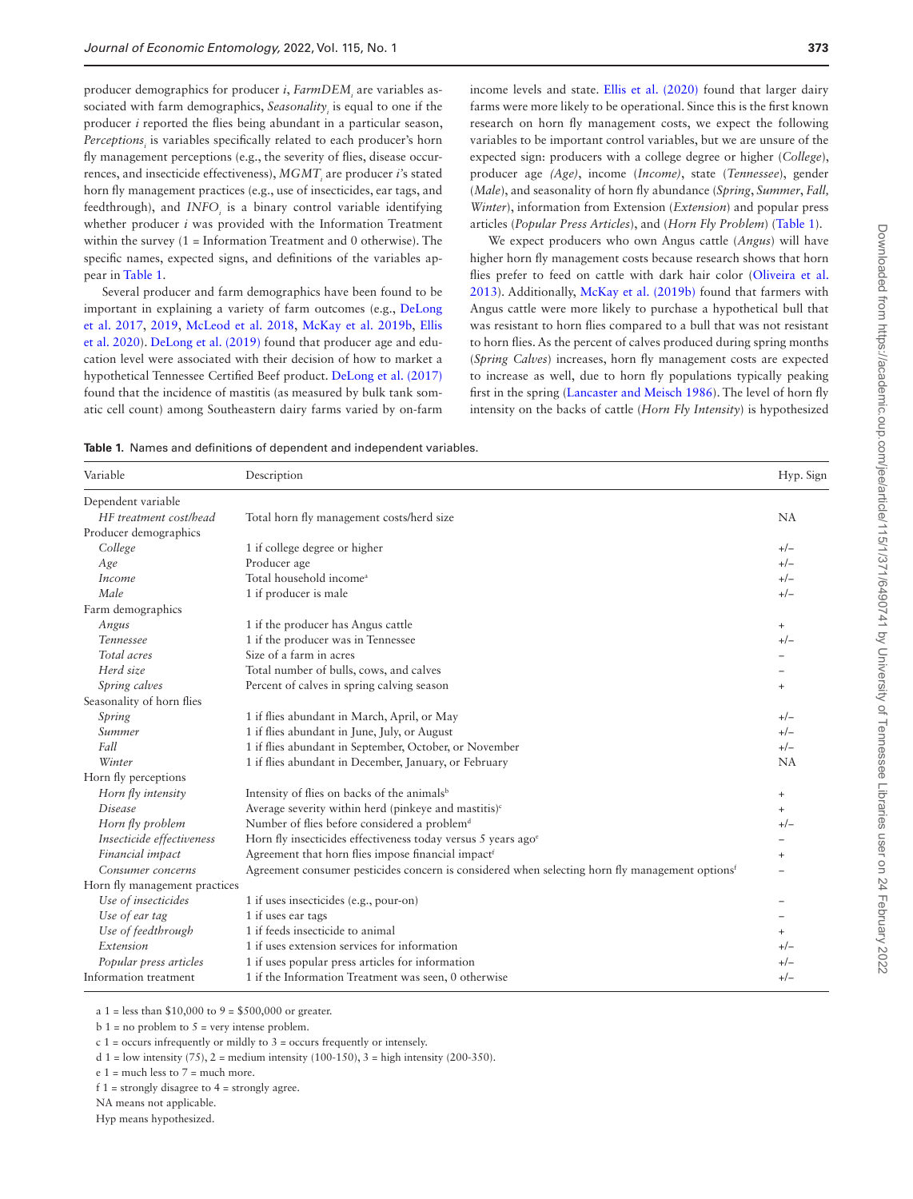producer demographics for producer *i*, *FarmDEM<sub>i</sub>* are variables associated with farm demographics, *Seasonality<sub>i</sub>* is equal to one if the producer *i* reported the flies being abundant in a particular season, Perceptions<sub>i</sub> is variables specifically related to each producer's horn fly management perceptions (e.g., the severity of flies, disease occurrences, and insecticide effectiveness), *MGMT<sub>i</sub>* are producer *i*'s stated horn fly management practices (e.g., use of insecticides, ear tags, and feedthrough), and *INFO<sub>i</sub>* is a binary control variable identifying whether producer *i* was provided with the Information Treatment within the survey (1 = Information Treatment and 0 otherwise). The specific names, expected signs, and definitions of the variables appear in [Table 1](#page-2-0).

Several producer and farm demographics have been found to be important in explaining a variety of farm outcomes (e.g., [DeLong](#page-8-29)  [et al. 2017](#page-8-29), [2019](#page-8-35), [McLeod et al. 2018](#page-8-30), [McKay et al. 2019b,](#page-8-28) [Ellis](#page-8-32)  [et al. 2020](#page-8-32)). [DeLong et al. \(2019\)](#page-8-35) found that producer age and education level were associated with their decision of how to market a hypothetical Tennessee Certified Beef product. [DeLong et al. \(2017\)](#page-8-29) found that the incidence of mastitis (as measured by bulk tank somatic cell count) among Southeastern dairy farms varied by on-farm

income levels and state. [Ellis et al. \(2020\)](#page-8-32) found that larger dairy farms were more likely to be operational. Since this is the first known research on horn fly management costs, we expect the following variables to be important control variables, but we are unsure of the expected sign: producers with a college degree or higher (*College*), producer age *(Age)*, income (*Income)*, state (*Tennessee*), gender (*Male*), and seasonality of horn fly abundance (*Spring*, *Summer*, *Fall, Winter*), information from Extension (*Extension*) and popular press articles (*Popular Press Articles*), and (*Horn Fly Problem*) [\(Table 1\)](#page-2-0).

We expect producers who own Angus cattle (*Angus*) will have higher horn fly management costs because research shows that horn flies prefer to feed on cattle with dark hair color [\(Oliveira et al.](#page-8-36)  [2013](#page-8-36)). Additionally, [McKay et al. \(2019b\)](#page-8-28) found that farmers with Angus cattle were more likely to purchase a hypothetical bull that was resistant to horn flies compared to a bull that was not resistant to horn flies. As the percent of calves produced during spring months (*Spring Calves*) increases, horn fly management costs are expected to increase as well, due to horn fly populations typically peaking first in the spring ([Lancaster and Meisch 1986\)](#page-8-26). The level of horn fly intensity on the backs of cattle (*Horn Fly Intensity*) is hypothesized

<span id="page-2-0"></span>**Table 1.** Names and definitions of dependent and independent variables.

| Variable                      | Description                                                                                                 | Hyp. Sign |
|-------------------------------|-------------------------------------------------------------------------------------------------------------|-----------|
| Dependent variable            |                                                                                                             |           |
| HF treatment cost/head        | Total horn fly management costs/herd size                                                                   | <b>NA</b> |
| Producer demographics         |                                                                                                             |           |
| College                       | 1 if college degree or higher                                                                               | $+/-$     |
| Age                           | Producer age                                                                                                | $+/-$     |
| Income                        | Total household income <sup>a</sup>                                                                         | $+/-$     |
| Male                          | 1 if producer is male                                                                                       | $+/-$     |
| Farm demographics             |                                                                                                             |           |
| Angus                         | 1 if the producer has Angus cattle                                                                          | $+$       |
| Tennessee                     | 1 if the producer was in Tennessee                                                                          | $+/-$     |
| Total acres                   | Size of a farm in acres                                                                                     |           |
| Herd size                     | Total number of bulls, cows, and calves                                                                     |           |
| Spring calves                 | Percent of calves in spring calving season                                                                  | $+$       |
| Seasonality of horn flies     |                                                                                                             |           |
| Spring                        | 1 if flies abundant in March, April, or May                                                                 | $+/-$     |
| Summer                        | 1 if flies abundant in June, July, or August                                                                | $+/-$     |
| Fall                          | 1 if flies abundant in September, October, or November                                                      | $+/-$     |
| Winter                        | 1 if flies abundant in December, January, or February                                                       | NA        |
| Horn fly perceptions          |                                                                                                             |           |
| Horn fly intensity            | Intensity of flies on backs of the animals <sup>b</sup>                                                     | $\ddot{}$ |
| Disease                       | Average severity within herd (pinkeye and mastitis) <sup>c</sup>                                            | $^{+}$    |
| Horn fly problem              | Number of flies before considered a problem <sup>d</sup>                                                    | $+/-$     |
| Insecticide effectiveness     | Horn fly insecticides effectiveness today versus 5 years ago <sup>e</sup>                                   |           |
| Financial impact              | Agreement that horn flies impose financial impact <sup>f</sup>                                              | $\ddot{}$ |
| Consumer concerns             | Agreement consumer pesticides concern is considered when selecting horn fly management options <sup>f</sup> |           |
| Horn fly management practices |                                                                                                             |           |
| Use of insecticides           | 1 if uses insecticides (e.g., pour-on)                                                                      |           |
| Use of ear tag                | 1 if uses ear tags                                                                                          |           |
| Use of feedthrough            | 1 if feeds insecticide to animal                                                                            |           |
| Extension                     | 1 if uses extension services for information                                                                |           |
| Popular press articles        | 1 if uses popular press articles for information                                                            | $+/-$     |
| Information treatment         | 1 if the Information Treatment was seen, 0 otherwise                                                        | $+/-$     |

a 1 = less than  $$10,000$  to 9 =  $$500,000$  or greater.

 $b_1$  = no problem to  $5$  = very intense problem.

 $c$  1 = occurs infrequently or mildly to 3 = occurs frequently or intensely.

d 1 = low intensity  $(75)$ , 2 = medium intensity  $(100-150)$ , 3 = high intensity  $(200-350)$ .

f  $1 =$  strongly disagree to  $4 =$  strongly agree.

NA means not applicable.

Hyp means hypothesized.

 $e_1$  = much less to  $7$  = much more.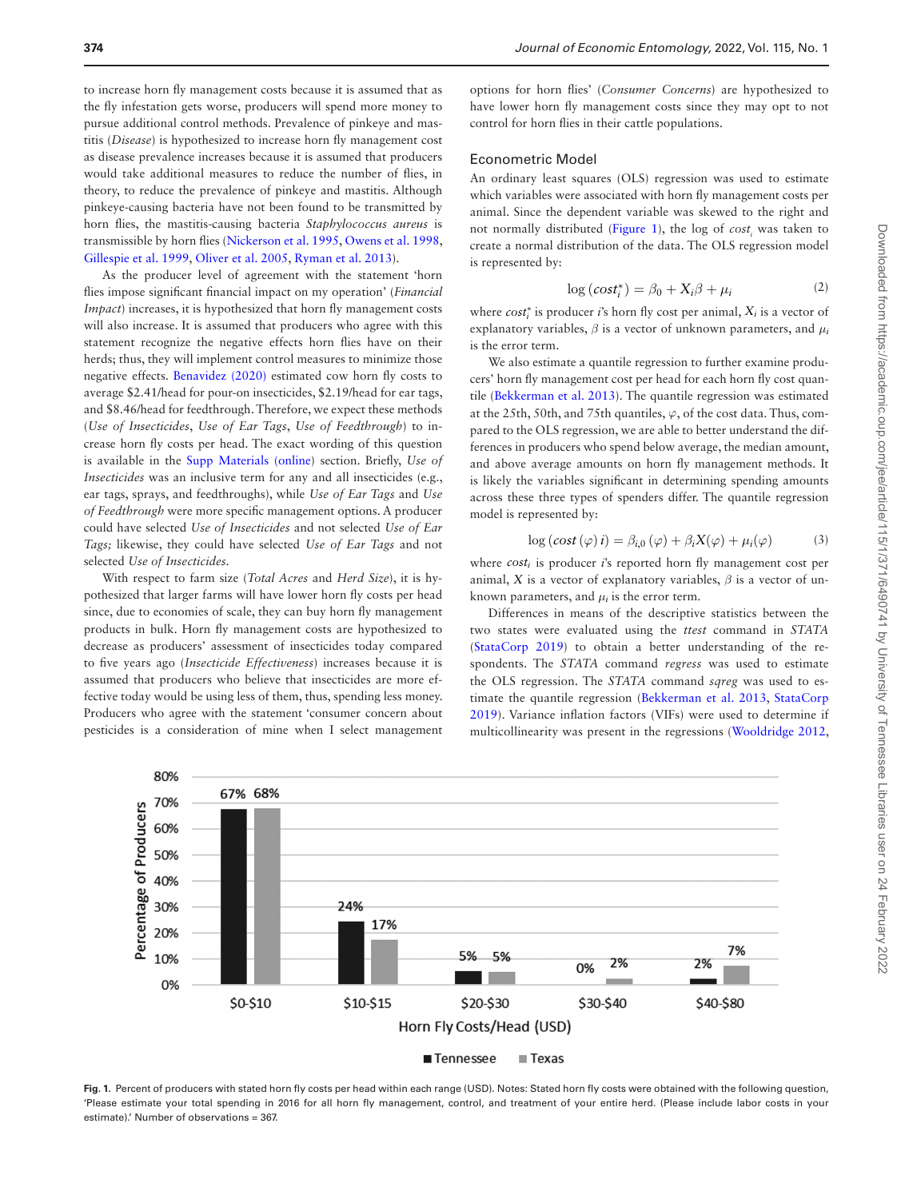to increase horn fly management costs because it is assumed that as the fly infestation gets worse, producers will spend more money to pursue additional control methods. Prevalence of pinkeye and mastitis (*Disease*) is hypothesized to increase horn fly management cost as disease prevalence increases because it is assumed that producers would take additional measures to reduce the number of flies, in theory, to reduce the prevalence of pinkeye and mastitis. Although pinkeye-causing bacteria have not been found to be transmitted by horn flies, the mastitis-causing bacteria *Staphylococcus aureus* is transmissible by horn flies ([Nickerson et al. 1995](#page-8-37), [Owens et al. 1998,](#page-8-38) [Gillespie et al. 1999](#page-8-12), [Oliver et al. 2005](#page-8-14), [Ryman et al. 2013\)](#page-8-16).

As the producer level of agreement with the statement 'horn flies impose significant financial impact on my operation' (*Financial Impact*) increases, it is hypothesized that horn fly management costs will also increase. It is assumed that producers who agree with this statement recognize the negative effects horn flies have on their herds; thus, they will implement control measures to minimize those negative effects. [Benavidez \(2020\)](#page-8-27) estimated cow horn fly costs to average \$2.41/head for pour-on insecticides, \$2.19/head for ear tags, and \$8.46/head for feedthrough. Therefore, we expect these methods (*Use of Insecticides*, *Use of Ear Tags*, *Use of Feedthrough*) to increase horn fly costs per head. The exact wording of this question is available in the [Supp Materials \(online\)](http://academic.oup.com/jee/article-lookup/doi/10.1093/jee/toab239#supplementary-data) section. Briefly, *Use of Insecticides* was an inclusive term for any and all insecticides (e.g., ear tags, sprays, and feedthroughs), while *Use of Ear Tags* and *Use of Feedthrough* were more specific management options. A producer could have selected *Use of Insecticides* and not selected *Use of Ear Tags;* likewise, they could have selected *Use of Ear Tags* and not selected *Use of Insecticides.*

With respect to farm size (*Total Acres* and *Herd Size*), it is hypothesized that larger farms will have lower horn fly costs per head since, due to economies of scale, they can buy horn fly management products in bulk. Horn fly management costs are hypothesized to decrease as producers' assessment of insecticides today compared to five years ago (*Insecticide Effectiveness*) increases because it is assumed that producers who believe that insecticides are more effective today would be using less of them, thus, spending less money. Producers who agree with the statement 'consumer concern about pesticides is a consideration of mine when I select management

options for horn flies' (*Consumer Concerns*) are hypothesized to have lower horn fly management costs since they may opt to not control for horn flies in their cattle populations.

## Econometric Model

An ordinary least squares (OLS) regression was used to estimate which variables were associated with horn fly management costs per animal. Since the dependent variable was skewed to the right and not normally distributed ([Figure 1](#page-3-0)), the log of *cost<sub>i</sub>* was taken to create a normal distribution of the data. The OLS regression model is represented by:

$$
\log\left(\cos t_i^*\right) = \beta_0 + X_i\beta + \mu_i \tag{2}
$$

where *cost*<sup>∗</sup> *<sup>i</sup>* is producer *i*'s horn fly cost per animal, *Xi* is a vector of explanatory variables,  $\beta$  is a vector of unknown parameters, and  $\mu_i$ is the error term.

We also estimate a quantile regression to further examine producers' horn fly management cost per head for each horn fly cost quantile ([Bekkerman et al. 2013](#page-8-39)). The quantile regression was estimated at the 25th, 50th, and 75th quantiles,  $\varphi$ , of the cost data. Thus, compared to the OLS regression, we are able to better understand the differences in producers who spend below average, the median amount, and above average amounts on horn fly management methods. It is likely the variables significant in determining spending amounts across these three types of spenders differ. The quantile regression model is represented by:

$$
\log(\cos t(\varphi)\,i) = \beta_{i,0}(\varphi) + \beta_i X(\varphi) + \mu_i(\varphi) \tag{3}
$$

where  $cost_i$  is producer *i*'s reported horn fly management cost per animal, *X* is a vector of explanatory variables,  $\beta$  is a vector of unknown parameters, and  $\mu_i$  is the error term.

Differences in means of the descriptive statistics between the two states were evaluated using the *ttest* command in *STATA* [\(StataCorp 2019\)](#page-9-5) to obtain a better understanding of the respondents. The *STATA* command *regress* was used to estimate the OLS regression. The *STATA* command *sqreg* was used to estimate the quantile regression [\(Bekkerman et al. 2013](#page-8-39), [StataCorp](#page-9-5)  [2019\)](#page-9-5). Variance inflation factors (VIFs) were used to determine if multicollinearity was present in the regressions [\(Wooldridge 2012,](#page-9-6)



<span id="page-3-0"></span>**Fig. 1.** Percent of producers with stated horn fly costs per head within each range (USD). Notes: Stated horn fly costs were obtained with the following question, 'Please estimate your total spending in 2016 for all horn fly management, control, and treatment of your entire herd. (Please include labor costs in your estimate).' Number of observations = 367.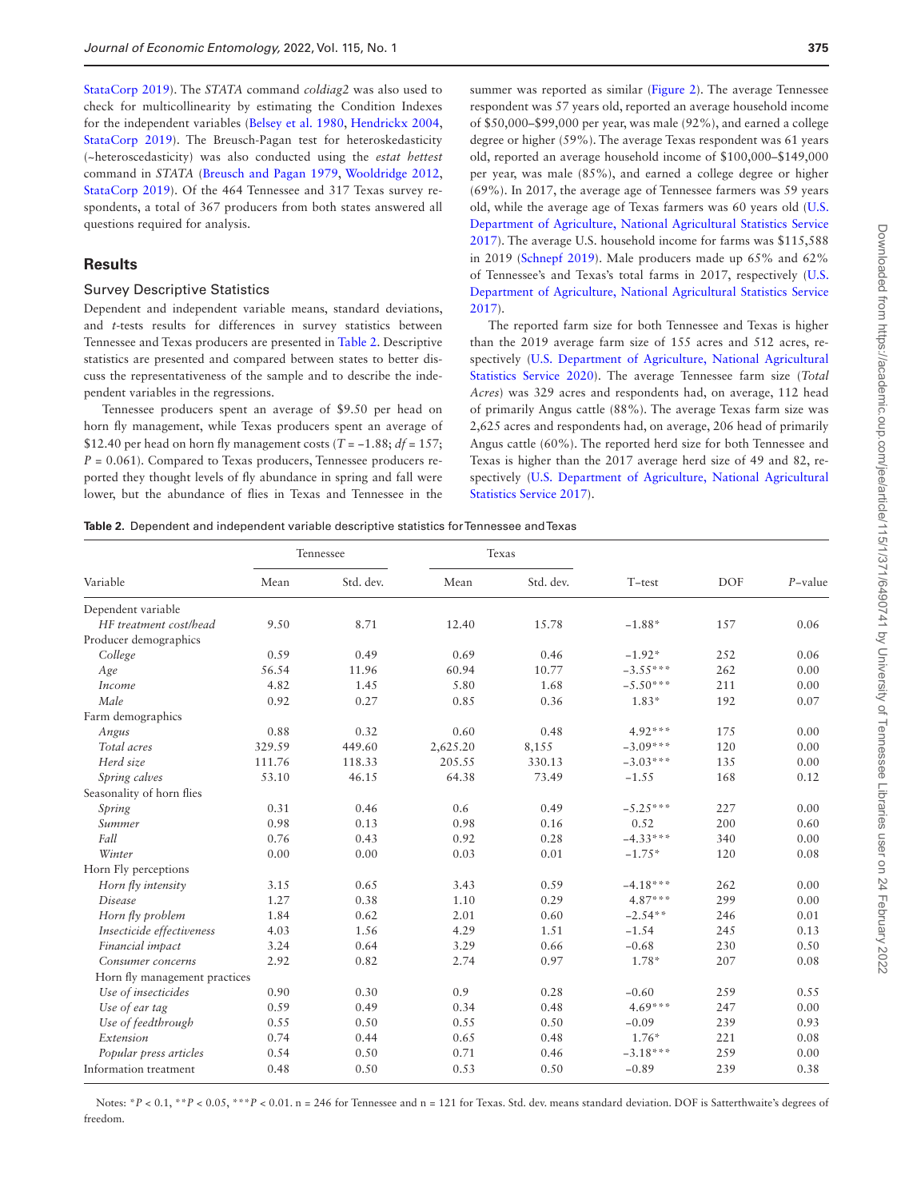[StataCorp 2019\)](#page-9-5). The *STATA* command *coldiag2* was also used to check for multicollinearity by estimating the Condition Indexes for the independent variables ([Belsey et al. 1980](#page-8-40), [Hendrickx 2004,](#page-8-41) [StataCorp 2019](#page-9-5)). The Breusch-Pagan test for heteroskedasticity (~heteroscedasticity) was also conducted using the *estat hettest* command in *STATA* [\(Breusch and Pagan 1979,](#page-8-42) [Wooldridge 2012,](#page-9-6) [StataCorp 2019](#page-9-5)). Of the 464 Tennessee and 317 Texas survey respondents, a total of 367 producers from both states answered all questions required for analysis.

## **Results**

#### Survey Descriptive Statistics

Dependent and independent variable means, standard deviations, and *t*-tests results for differences in survey statistics between Tennessee and Texas producers are presented in [Table 2.](#page-4-0) Descriptive statistics are presented and compared between states to better discuss the representativeness of the sample and to describe the independent variables in the regressions.

Tennessee producers spent an average of \$9.50 per head on horn fly management, while Texas producers spent an average of \$12.40 per head on horn fly management costs ( $T = -1.88$ ;  $df = 157$ ; *P* = 0.061). Compared to Texas producers, Tennessee producers reported they thought levels of fly abundance in spring and fall were lower, but the abundance of flies in Texas and Tennessee in the summer was reported as similar [\(Figure 2](#page-5-0)). The average Tennessee respondent was 57 years old, reported an average household income of \$50,000–\$99,000 per year, was male (92%), and earned a college degree or higher (59%). The average Texas respondent was 61 years old, reported an average household income of \$100,000–\$149,000 per year, was male (85%), and earned a college degree or higher (69%). In 2017, the average age of Tennessee farmers was 59 years old, while the average age of Texas farmers was 60 years old ([U.S.](#page-9-7)  [Department of Agriculture, National Agricultural Statistics Service](#page-9-7)  [2017](#page-9-7)). The average U.S. household income for farms was \$115,588 in 2019 ([Schnepf 2019](#page-9-8)). Male producers made up 65% and 62% of Tennessee's and Texas's total farms in 2017, respectively ([U.S.](#page-9-7)  [Department of Agriculture, National Agricultural Statistics Service](#page-9-7)  [2017](#page-9-7)).

The reported farm size for both Tennessee and Texas is higher than the 2019 average farm size of 155 acres and 512 acres, respectively [\(U.S. Department of Agriculture, National Agricultural](#page-9-9)  [Statistics Service 2020](#page-9-9)). The average Tennessee farm size (*Total Acres*) was 329 acres and respondents had, on average, 112 head of primarily Angus cattle (88%). The average Texas farm size was 2,625 acres and respondents had, on average, 206 head of primarily Angus cattle (60%). The reported herd size for both Tennessee and Texas is higher than the 2017 average herd size of 49 and 82, respectively [\(U.S. Department of Agriculture, National Agricultural](#page-9-7)  [Statistics Service 2017](#page-9-7)).

<span id="page-4-0"></span>**Table 2.** Dependent and independent variable descriptive statistics for Tennessee and Texas

| Variable                      | Tennessee |           |          | Texas     |            |            |            |
|-------------------------------|-----------|-----------|----------|-----------|------------|------------|------------|
|                               | Mean      | Std. dev. | Mean     | Std. dev. | $T$ -test  | <b>DOF</b> | $P$ -value |
| Dependent variable            |           |           |          |           |            |            |            |
| HF treatment cost/head        | 9.50      | 8.71      | 12.40    | 15.78     | $-1.88*$   | 157        | 0.06       |
| Producer demographics         |           |           |          |           |            |            |            |
| College                       | 0.59      | 0.49      | 0.69     | 0.46      | $-1.92*$   | 252        | 0.06       |
| Age                           | 56.54     | 11.96     | 60.94    | 10.77     | $-3.55***$ | 262        | 0.00       |
| Income                        | 4.82      | 1.45      | 5.80     | 1.68      | $-5.50***$ | 211        | 0.00       |
| Male                          | 0.92      | 0.27      | 0.85     | 0.36      | $1.83*$    | 192        | 0.07       |
| Farm demographics             |           |           |          |           |            |            |            |
| Angus                         | 0.88      | 0.32      | 0.60     | 0.48      | $4.92***$  | 175        | 0.00       |
| Total acres                   | 329.59    | 449.60    | 2,625.20 | 8,155     | $-3.09***$ | 120        | 0.00       |
| Herd size                     | 111.76    | 118.33    | 205.55   | 330.13    | $-3.03***$ | 135        | 0.00       |
| Spring calves                 | 53.10     | 46.15     | 64.38    | 73.49     | $-1.55$    | 168        | 0.12       |
| Seasonality of horn flies     |           |           |          |           |            |            |            |
| Spring                        | 0.31      | 0.46      | 0.6      | 0.49      | $-5.25***$ | 227        | 0.00       |
| Summer                        | 0.98      | 0.13      | 0.98     | 0.16      | 0.52       | 200        | 0.60       |
| Fall                          | 0.76      | 0.43      | 0.92     | 0.28      | $-4.33***$ | 340        | 0.00       |
| Winter                        | 0.00      | 0.00      | 0.03     | 0.01      | $-1.75*$   | 120        | 0.08       |
| Horn Fly perceptions          |           |           |          |           |            |            |            |
| Horn fly intensity            | 3.15      | 0.65      | 3.43     | 0.59      | $-4.18***$ | 262        | 0.00       |
| Disease                       | 1.27      | 0.38      | 1.10     | 0.29      | $4.87***$  | 299        | 0.00       |
| Horn fly problem              | 1.84      | 0.62      | 2.01     | 0.60      | $-2.54**$  | 246        | 0.01       |
| Insecticide effectiveness     | 4.03      | 1.56      | 4.29     | 1.51      | $-1.54$    | 245        | 0.13       |
| Financial impact              | 3.24      | 0.64      | 3.29     | 0.66      | $-0.68$    | 230        | 0.50       |
| Consumer concerns             | 2.92      | 0.82      | 2.74     | 0.97      | $1.78*$    | 207        | 0.08       |
| Horn fly management practices |           |           |          |           |            |            |            |
| Use of insecticides           | 0.90      | 0.30      | 0.9      | 0.28      | $-0.60$    | 259        | 0.55       |
| Use of ear tag                | 0.59      | 0.49      | 0.34     | 0.48      | $4.69***$  | 247        | 0.00       |
| Use of feedthrough            | 0.55      | 0.50      | 0.55     | 0.50      | $-0.09$    | 239        | 0.93       |
| Extension                     | 0.74      | 0.44      | 0.65     | 0.48      | $1.76*$    | 221        | 0.08       |
| Popular press articles        | 0.54      | 0.50      | 0.71     | 0.46      | $-3.18***$ | 259        | 0.00       |
| Information treatment         | 0.48      | 0.50      | 0.53     | 0.50      | $-0.89$    | 239        | 0.38       |

Notes: \**P* < 0.1, \*\**P* < 0.05, \*\*\**P* < 0.01. n = 246 for Tennessee and n = 121 for Texas. Std. dev. means standard deviation. DOF is Satterthwaite's degrees of freedom.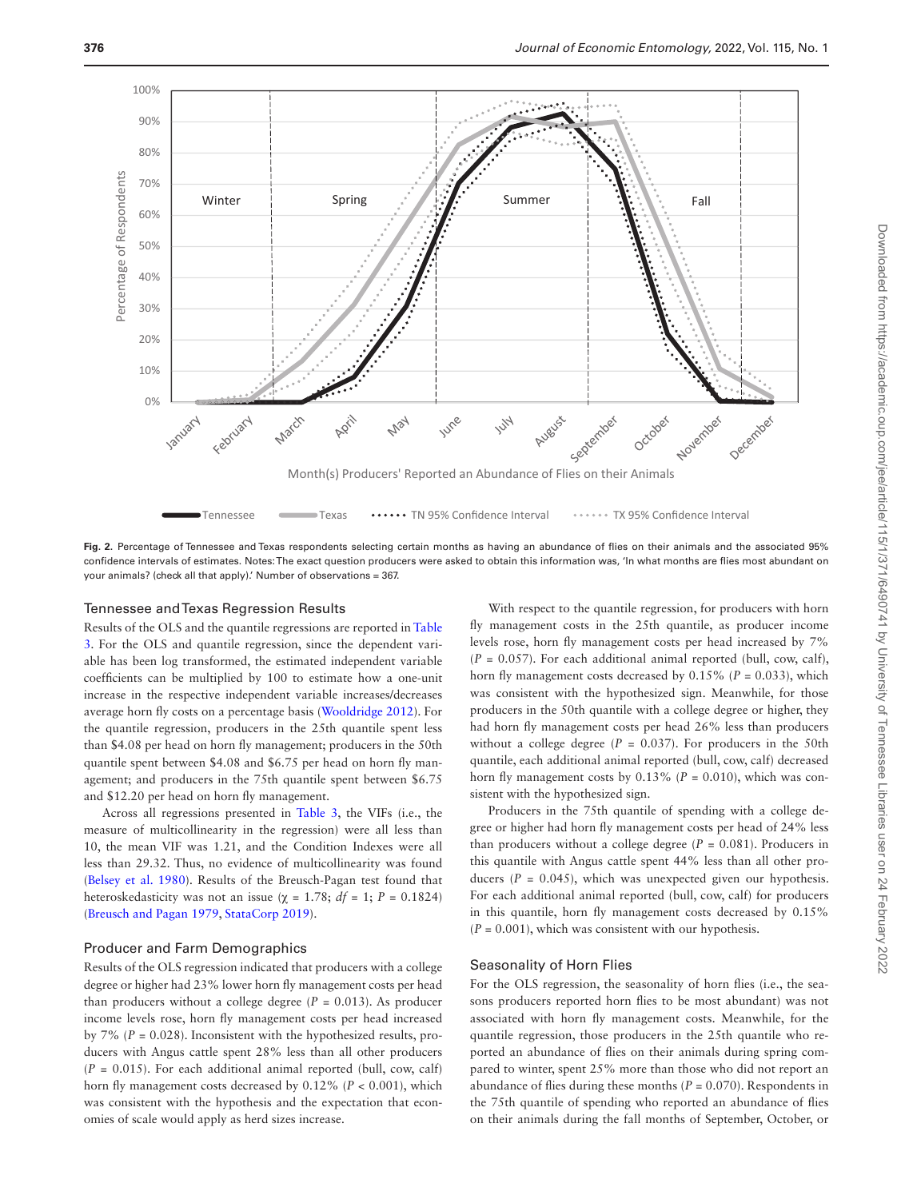

<span id="page-5-0"></span>Fig. 2. Percentage of Tennessee and Texas respondents selecting certain months as having an abundance of flies on their animals and the associated 95% confidence intervals of estimates. Notes: The exact question producers were asked to obtain this information was, 'In what months are flies most abundant on your animals? (check all that apply).' Number of observations = 367.

## Tennessee and Texas Regression Results

Results of the OLS and the quantile regressions are reported in [Table](#page-6-0)  [3](#page-6-0). For the OLS and quantile regression, since the dependent variable has been log transformed, the estimated independent variable coefficients can be multiplied by 100 to estimate how a one-unit increase in the respective independent variable increases/decreases average horn fly costs on a percentage basis ([Wooldridge 2012\)](#page-9-6). For the quantile regression, producers in the 25th quantile spent less than \$4.08 per head on horn fly management; producers in the 50th quantile spent between \$4.08 and \$6.75 per head on horn fly management; and producers in the 75th quantile spent between \$6.75 and \$12.20 per head on horn fly management.

Across all regressions presented in [Table 3](#page-6-0), the VIFs (i.e., the measure of multicollinearity in the regression) were all less than 10, the mean VIF was 1.21, and the Condition Indexes were all less than 29.32. Thus, no evidence of multicollinearity was found [\(Belsey et al. 1980\)](#page-8-40). Results of the Breusch-Pagan test found that heteroskedasticity was not an issue ( $\chi$  = 1.78; *df* = 1; *P* = 0.1824) [\(Breusch and Pagan 1979,](#page-8-42) [StataCorp 2019\)](#page-9-5).

## Producer and Farm Demographics

Results of the OLS regression indicated that producers with a college degree or higher had 23% lower horn fly management costs per head than producers without a college degree  $(P = 0.013)$ . As producer income levels rose, horn fly management costs per head increased by  $7\%$  ( $P = 0.028$ ). Inconsistent with the hypothesized results, producers with Angus cattle spent 28% less than all other producers  $(P = 0.015)$ . For each additional animal reported (bull, cow, calf) horn fly management costs decreased by  $0.12\%$  ( $P < 0.001$ ), which was consistent with the hypothesis and the expectation that economies of scale would apply as herd sizes increase.

With respect to the quantile regression, for producers with horn fly management costs in the 25th quantile, as producer income levels rose, horn fly management costs per head increased by 7%  $(P = 0.057)$ . For each additional animal reported (bull, cow, calf), horn fly management costs decreased by 0.15% (*P* = 0.033), which was consistent with the hypothesized sign. Meanwhile, for those producers in the 50th quantile with a college degree or higher, they had horn fly management costs per head 26% less than producers without a college degree  $(P = 0.037)$ . For producers in the 50th quantile, each additional animal reported (bull, cow, calf) decreased horn fly management costs by  $0.13\%$  ( $P = 0.010$ ), which was consistent with the hypothesized sign.

Producers in the 75th quantile of spending with a college degree or higher had horn fly management costs per head of 24% less than producers without a college degree (*P* = 0.081). Producers in this quantile with Angus cattle spent 44% less than all other producers  $(P = 0.045)$ , which was unexpected given our hypothesis. For each additional animal reported (bull, cow, calf) for producers in this quantile, horn fly management costs decreased by 0.15%  $(P = 0.001)$ , which was consistent with our hypothesis.

#### Seasonality of Horn Flies

For the OLS regression, the seasonality of horn flies (i.e., the seasons producers reported horn flies to be most abundant) was not associated with horn fly management costs. Meanwhile, for the quantile regression, those producers in the 25th quantile who reported an abundance of flies on their animals during spring compared to winter, spent 25% more than those who did not report an abundance of flies during these months (*P* = 0.070). Respondents in the 75th quantile of spending who reported an abundance of flies on their animals during the fall months of September, October, or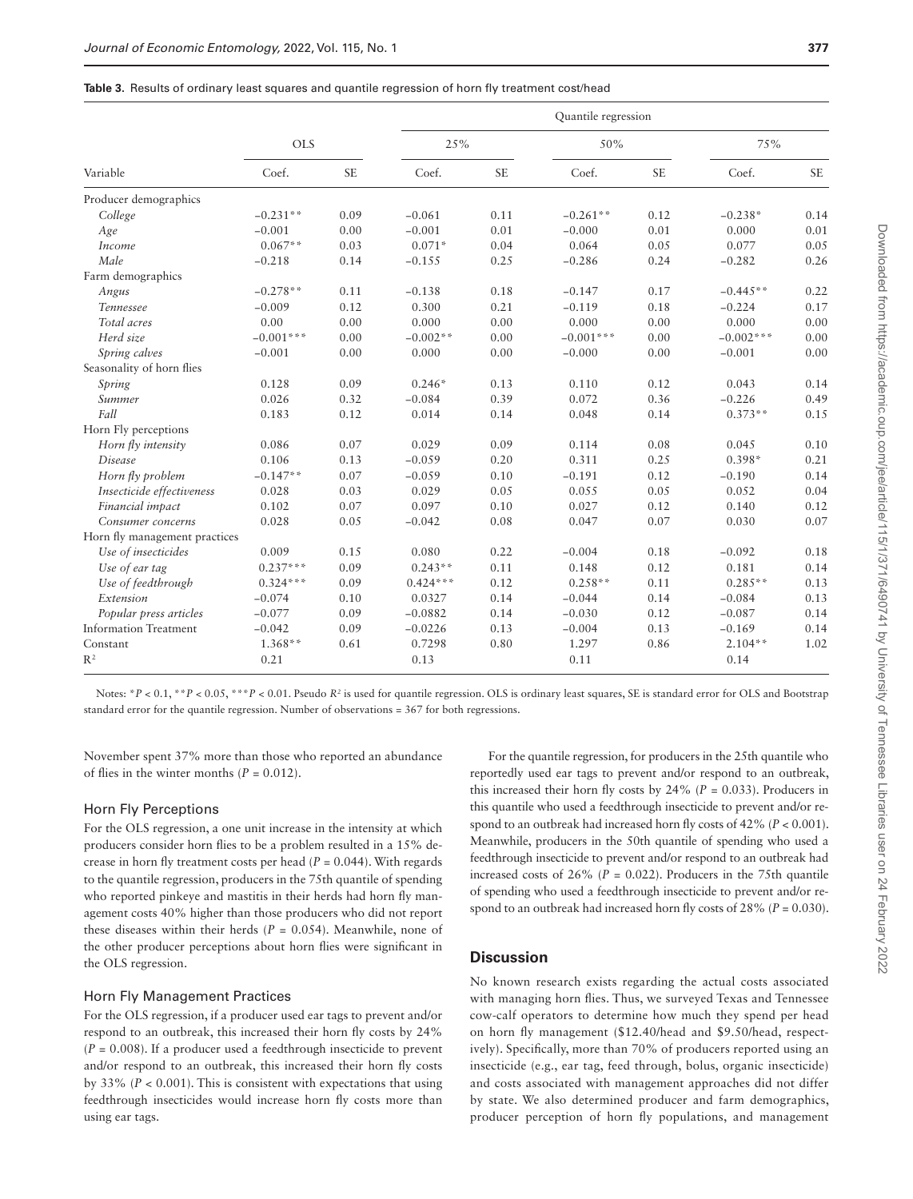| Variable                      |             |           | Quantile regression |           |             |           |             |           |  |
|-------------------------------|-------------|-----------|---------------------|-----------|-------------|-----------|-------------|-----------|--|
|                               | <b>OLS</b>  |           | 25%                 |           | 50%         |           | 75%         |           |  |
|                               | Coef.       | <b>SE</b> | Coef.               | <b>SE</b> | Coef.       | <b>SE</b> | Coef.       | <b>SE</b> |  |
| Producer demographics         |             |           |                     |           |             |           |             |           |  |
| College                       | $-0.231**$  | 0.09      | $-0.061$            | 0.11      | $-0.261**$  | 0.12      | $-0.238*$   | 0.14      |  |
| Age                           | $-0.001$    | 0.00      | $-0.001$            | 0.01      | $-0.000$    | 0.01      | 0.000       | 0.01      |  |
| Income                        | $0.067**$   | 0.03      | $0.071*$            | 0.04      | 0.064       | 0.05      | 0.077       | 0.05      |  |
| Male                          | $-0.218$    | 0.14      | $-0.155$            | 0.25      | $-0.286$    | 0.24      | $-0.282$    | 0.26      |  |
| Farm demographics             |             |           |                     |           |             |           |             |           |  |
| Angus                         | $-0.278**$  | 0.11      | $-0.138$            | 0.18      | $-0.147$    | 0.17      | $-0.445**$  | 0.22      |  |
| <b>Tennessee</b>              | $-0.009$    | 0.12      | 0.300               | 0.21      | $-0.119$    | 0.18      | $-0.224$    | 0.17      |  |
| Total acres                   | 0.00        | 0.00      | 0.000               | 0.00      | 0.000       | 0.00      | 0.000       | 0.00      |  |
| Herd size                     | $-0.001***$ | 0.00      | $-0.002**$          | 0.00      | $-0.001***$ | 0.00      | $-0.002***$ | 0.00      |  |
| Spring calves                 | $-0.001$    | 0.00      | 0.000               | 0.00      | $-0.000$    | 0.00      | $-0.001$    | 0.00      |  |
| Seasonality of horn flies     |             |           |                     |           |             |           |             |           |  |
| Spring                        | 0.128       | 0.09      | $0.246*$            | 0.13      | 0.110       | 0.12      | 0.043       | 0.14      |  |
| Summer                        | 0.026       | 0.32      | $-0.084$            | 0.39      | 0.072       | 0.36      | $-0.226$    | 0.49      |  |
| Fall                          | 0.183       | 0.12      | 0.014               | 0.14      | 0.048       | 0.14      | $0.373**$   | 0.15      |  |
| Horn Fly perceptions          |             |           |                     |           |             |           |             |           |  |
| Horn fly intensity            | 0.086       | 0.07      | 0.029               | 0.09      | 0.114       | 0.08      | 0.045       | 0.10      |  |
| <b>Disease</b>                | 0.106       | 0.13      | $-0.059$            | 0.20      | 0.311       | 0.25      | $0.398*$    | 0.21      |  |
| Horn fly problem              | $-0.147**$  | 0.07      | $-0.059$            | 0.10      | $-0.191$    | 0.12      | $-0.190$    | 0.14      |  |
| Insecticide effectiveness     | 0.028       | 0.03      | 0.029               | 0.05      | 0.055       | 0.05      | 0.052       | 0.04      |  |
| Financial impact              | 0.102       | 0.07      | 0.097               | 0.10      | 0.027       | 0.12      | 0.140       | 0.12      |  |
| Consumer concerns             | 0.028       | 0.05      | $-0.042$            | 0.08      | 0.047       | 0.07      | 0.030       | 0.07      |  |
| Horn fly management practices |             |           |                     |           |             |           |             |           |  |
| Use of insecticides           | 0.009       | 0.15      | 0.080               | 0.22      | $-0.004$    | 0.18      | $-0.092$    | 0.18      |  |
| Use of ear tag                | $0.237***$  | 0.09      | $0.243**$           | 0.11      | 0.148       | 0.12      | 0.181       | 0.14      |  |
| Use of feedthrough            | $0.324***$  | 0.09      | $0.424***$          | 0.12      | $0.258**$   | 0.11      | $0.285**$   | 0.13      |  |
| Extension                     | $-0.074$    | 0.10      | 0.0327              | 0.14      | $-0.044$    | 0.14      | $-0.084$    | 0.13      |  |
| Popular press articles        | $-0.077$    | 0.09      | $-0.0882$           | 0.14      | $-0.030$    | 0.12      | $-0.087$    | 0.14      |  |
| <b>Information Treatment</b>  | $-0.042$    | 0.09      | $-0.0226$           | 0.13      | $-0.004$    | 0.13      | $-0.169$    | 0.14      |  |
| Constant                      | $1.368**$   | 0.61      | 0.7298              | 0.80      | 1.297       | 0.86      | $2.104**$   | 1.02      |  |
| $R^2$                         | 0.21        |           | 0.13                |           | 0.11        |           | 0.14        |           |  |

<span id="page-6-0"></span>**Table 3.** Results of ordinary least squares and quantile regression of horn fly treatment cost/head

Notes: \**P* < 0.1, \*\**P* < 0.05, \*\*\**P* < 0.01. Pseudo *R*<sup>2</sup> is used for quantile regression. OLS is ordinary least squares, SE is standard error for OLS and Bootstrap standard error for the quantile regression. Number of observations = 367 for both regressions.

November spent 37% more than those who reported an abundance of flies in the winter months  $(P = 0.012)$ .

#### Horn Fly Perceptions

For the OLS regression, a one unit increase in the intensity at which producers consider horn flies to be a problem resulted in a 15% decrease in horn fly treatment costs per head  $(P = 0.044)$ . With regards to the quantile regression, producers in the 75th quantile of spending who reported pinkeye and mastitis in their herds had horn fly management costs 40% higher than those producers who did not report these diseases within their herds  $(P = 0.054)$ . Meanwhile, none of the other producer perceptions about horn flies were significant in the OLS regression.

#### Horn Fly Management Practices

For the OLS regression, if a producer used ear tags to prevent and/or respond to an outbreak, this increased their horn fly costs by 24%  $(P = 0.008)$ . If a producer used a feedthrough insecticide to prevent and/or respond to an outbreak, this increased their horn fly costs by 33% (*P* < 0.001). This is consistent with expectations that using feedthrough insecticides would increase horn fly costs more than using ear tags.

For the quantile regression, for producers in the 25th quantile who reportedly used ear tags to prevent and/or respond to an outbreak, this increased their horn fly costs by  $24\%$  ( $P = 0.033$ ). Producers in this quantile who used a feedthrough insecticide to prevent and/or respond to an outbreak had increased horn fly costs of 42% (*P* < 0.001). Meanwhile, producers in the 50th quantile of spending who used a feedthrough insecticide to prevent and/or respond to an outbreak had increased costs of  $26\%$  ( $P = 0.022$ ). Producers in the 75th quantile of spending who used a feedthrough insecticide to prevent and/or respond to an outbreak had increased horn fly costs of 28% (*P* = 0.030).

## **Discussion**

No known research exists regarding the actual costs associated with managing horn flies. Thus, we surveyed Texas and Tennessee cow-calf operators to determine how much they spend per head on horn fly management (\$12.40/head and \$9.50/head, respectively). Specifically, more than 70% of producers reported using an insecticide (e.g., ear tag, feed through, bolus, organic insecticide) and costs associated with management approaches did not differ by state. We also determined producer and farm demographics, producer perception of horn fly populations, and management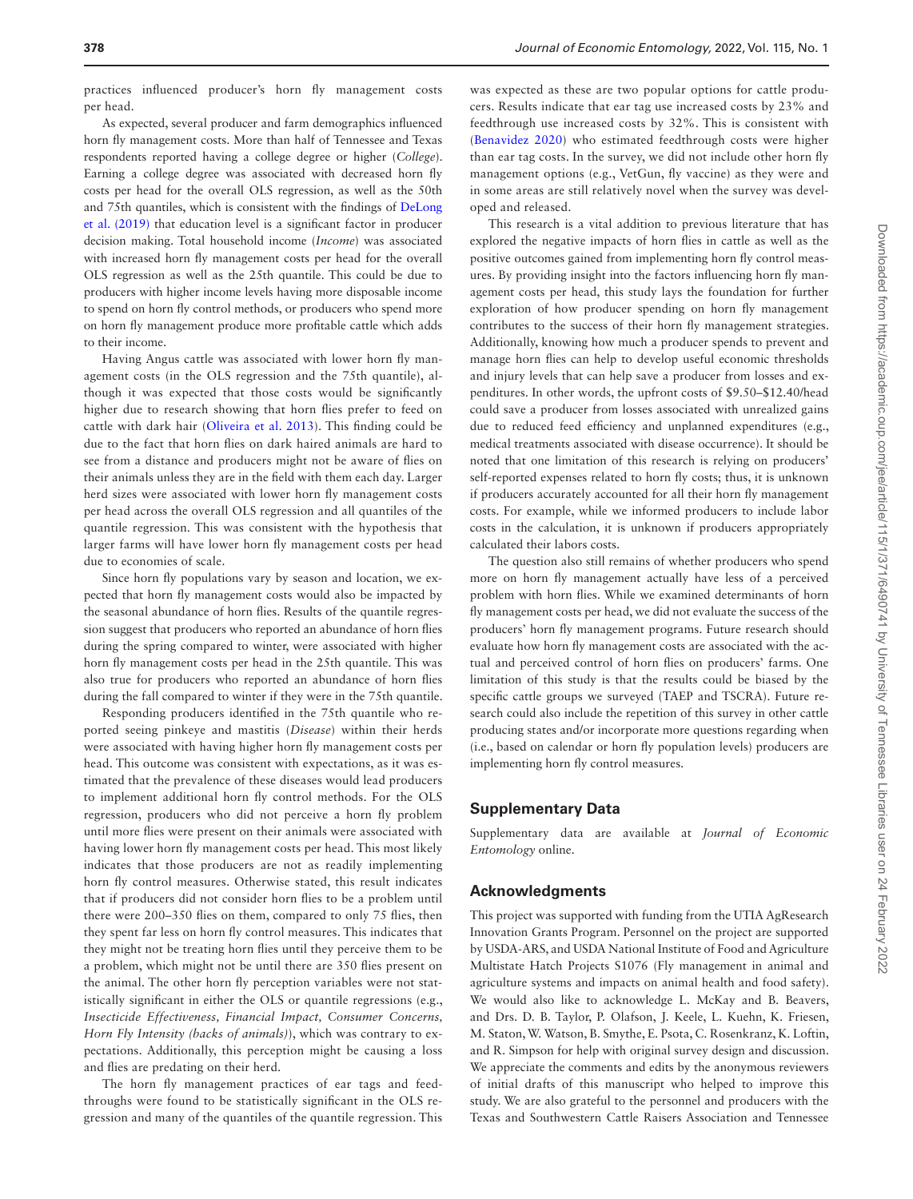As expected, several producer and farm demographics influenced horn fly management costs. More than half of Tennessee and Texas respondents reported having a college degree or higher (*College*). Earning a college degree was associated with decreased horn fly costs per head for the overall OLS regression, as well as the 50th and 75th quantiles, which is consistent with the findings of [DeLong](#page-8-35)  [et al. \(2019\)](#page-8-35) that education level is a significant factor in producer decision making. Total household income (*Income*) was associated with increased horn fly management costs per head for the overall OLS regression as well as the 25th quantile. This could be due to producers with higher income levels having more disposable income to spend on horn fly control methods, or producers who spend more on horn fly management produce more profitable cattle which adds to their income.

Having Angus cattle was associated with lower horn fly management costs (in the OLS regression and the 75th quantile), although it was expected that those costs would be significantly higher due to research showing that horn flies prefer to feed on cattle with dark hair ([Oliveira et al. 2013\)](#page-8-36). This finding could be due to the fact that horn flies on dark haired animals are hard to see from a distance and producers might not be aware of flies on their animals unless they are in the field with them each day. Larger herd sizes were associated with lower horn fly management costs per head across the overall OLS regression and all quantiles of the quantile regression. This was consistent with the hypothesis that larger farms will have lower horn fly management costs per head due to economies of scale.

Since horn fly populations vary by season and location, we expected that horn fly management costs would also be impacted by the seasonal abundance of horn flies. Results of the quantile regression suggest that producers who reported an abundance of horn flies during the spring compared to winter, were associated with higher horn fly management costs per head in the 25th quantile. This was also true for producers who reported an abundance of horn flies during the fall compared to winter if they were in the 75th quantile.

Responding producers identified in the 75th quantile who reported seeing pinkeye and mastitis (*Disease*) within their herds were associated with having higher horn fly management costs per head. This outcome was consistent with expectations, as it was estimated that the prevalence of these diseases would lead producers to implement additional horn fly control methods. For the OLS regression, producers who did not perceive a horn fly problem until more flies were present on their animals were associated with having lower horn fly management costs per head. This most likely indicates that those producers are not as readily implementing horn fly control measures. Otherwise stated, this result indicates that if producers did not consider horn flies to be a problem until there were 200–350 flies on them, compared to only 75 flies, then they spent far less on horn fly control measures. This indicates that they might not be treating horn flies until they perceive them to be a problem, which might not be until there are 350 flies present on the animal. The other horn fly perception variables were not statistically significant in either the OLS or quantile regressions (e.g., *Insecticide Effectiveness, Financial Impact, Consumer Concerns, Horn Fly Intensity (backs of animals)*), which was contrary to expectations. Additionally, this perception might be causing a loss and flies are predating on their herd.

The horn fly management practices of ear tags and feedthroughs were found to be statistically significant in the OLS regression and many of the quantiles of the quantile regression. This

was expected as these are two popular options for cattle producers. Results indicate that ear tag use increased costs by 23% and feedthrough use increased costs by 32%. This is consistent with [\(Benavidez 2020](#page-8-27)) who estimated feedthrough costs were higher than ear tag costs. In the survey, we did not include other horn fly management options (e.g., VetGun, fly vaccine) as they were and in some areas are still relatively novel when the survey was developed and released.

This research is a vital addition to previous literature that has explored the negative impacts of horn flies in cattle as well as the positive outcomes gained from implementing horn fly control measures. By providing insight into the factors influencing horn fly management costs per head, this study lays the foundation for further exploration of how producer spending on horn fly management contributes to the success of their horn fly management strategies. Additionally, knowing how much a producer spends to prevent and manage horn flies can help to develop useful economic thresholds and injury levels that can help save a producer from losses and expenditures. In other words, the upfront costs of \$9.50–\$12.40/head could save a producer from losses associated with unrealized gains due to reduced feed efficiency and unplanned expenditures (e.g., medical treatments associated with disease occurrence). It should be noted that one limitation of this research is relying on producers' self-reported expenses related to horn fly costs; thus, it is unknown if producers accurately accounted for all their horn fly management costs. For example, while we informed producers to include labor costs in the calculation, it is unknown if producers appropriately calculated their labors costs.

The question also still remains of whether producers who spend more on horn fly management actually have less of a perceived problem with horn flies. While we examined determinants of horn fly management costs per head, we did not evaluate the success of the producers' horn fly management programs. Future research should evaluate how horn fly management costs are associated with the actual and perceived control of horn flies on producers' farms. One limitation of this study is that the results could be biased by the specific cattle groups we surveyed (TAEP and TSCRA). Future research could also include the repetition of this survey in other cattle producing states and/or incorporate more questions regarding when (i.e., based on calendar or horn fly population levels) producers are implementing horn fly control measures.

## **Supplementary Data**

Supplementary data are available at *Journal of Economic Entomology* online.

## **Acknowledgments**

This project was supported with funding from the UTIA AgResearch Innovation Grants Program. Personnel on the project are supported by USDA-ARS, and USDA National Institute of Food and Agriculture Multistate Hatch Projects S1076 (Fly management in animal and agriculture systems and impacts on animal health and food safety). We would also like to acknowledge L. McKay and B. Beavers, and Drs. D. B. Taylor, P. Olafson, J. Keele, L. Kuehn, K. Friesen, M. Staton, W. Watson, B. Smythe, E. Psota, C. Rosenkranz, K. Loftin, and R. Simpson for help with original survey design and discussion. We appreciate the comments and edits by the anonymous reviewers of initial drafts of this manuscript who helped to improve this study. We are also grateful to the personnel and producers with the Texas and Southwestern Cattle Raisers Association and Tennessee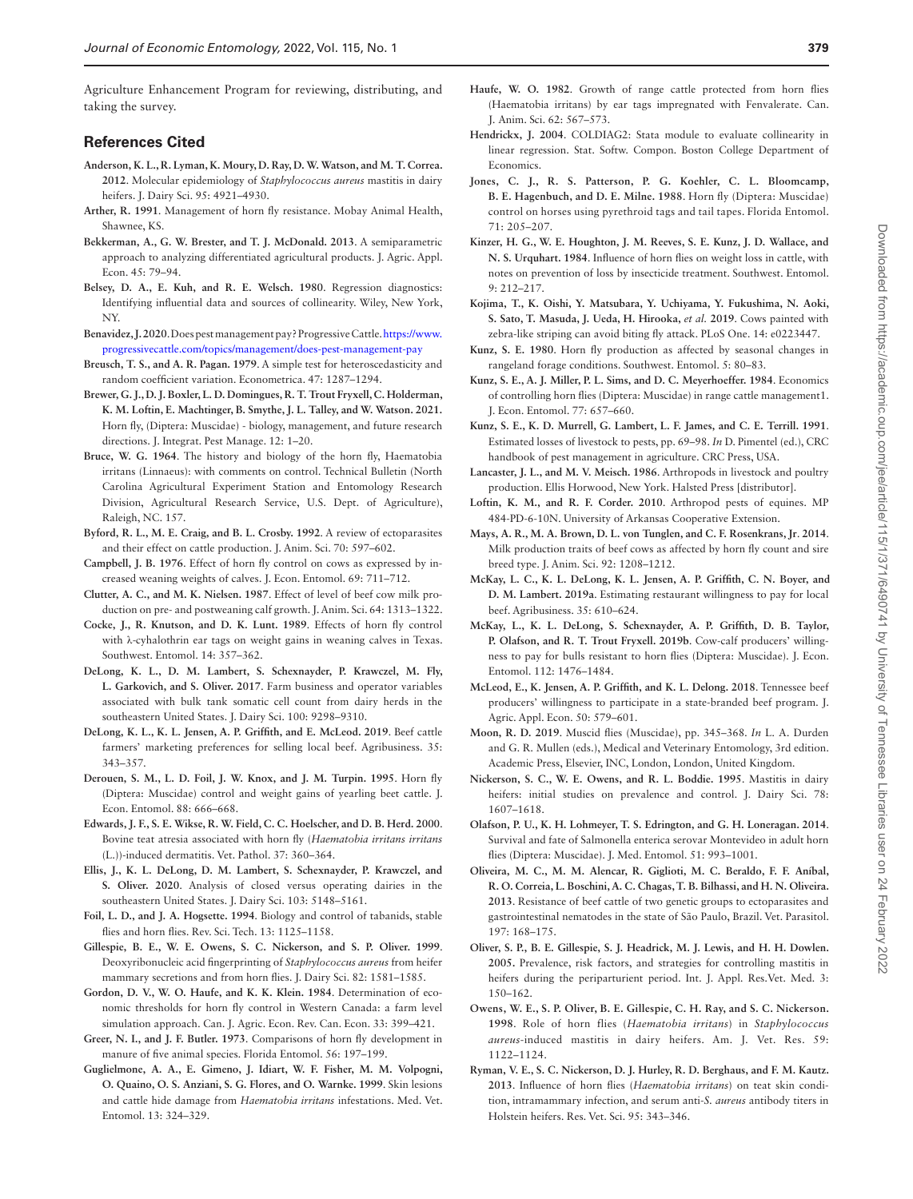Agriculture Enhancement Program for reviewing, distributing, and taking the survey.

## **References Cited**

- <span id="page-8-15"></span>**Anderson, K. L., R. Lyman, K. Moury, D. Ray, D. W. Watson, and M. T. Correa. 2012**. Molecular epidemiology of *Staphylococcus aureus* mastitis in dairy heifers. J. Dairy Sci. 95: 4921–4930.
- <span id="page-8-8"></span>**Arther, R. 1991**. Management of horn fly resistance. Mobay Animal Health, Shawnee, KS.
- <span id="page-8-39"></span>**Bekkerman, A., G. W. Brester, and T. J. McDonald. 2013**. A semiparametric approach to analyzing differentiated agricultural products. J. Agric. Appl. Econ. 45: 79–94.
- <span id="page-8-40"></span>**Belsey, D. A., E. Kuh, and R. E. Welsch. 1980**. Regression diagnostics: Identifying influential data and sources of collinearity. Wiley, New York, NY.
- <span id="page-8-27"></span>**Benavidez, J.2020**. Does pest management pay? Progressive Cattle. [https://www.](https://www.progressivecattle.com/topics/management/does-pest-management-pay) [progressivecattle.com/topics/management/does-pest-management-pay](https://www.progressivecattle.com/topics/management/does-pest-management-pay)
- <span id="page-8-42"></span>**Breusch, T. S., and A. R. Pagan. 1979**. A simple test for heteroscedasticity and random coefficient variation. Econometrica. 47: 1287–1294.
- <span id="page-8-4"></span>**Brewer, G. J., D. J. Boxler, L. D. Domingues, R. T. Trout Fryxell, C. Holderman, K. M. Loftin, E. Machtinger, B. Smythe, J. L. Talley, and W. Watson. 2021.** Horn fly, (Diptera: Muscidae) - biology, management, and future research directions. J. Integrat. Pest Manage. 12: 1–20.
- <span id="page-8-0"></span>**Bruce, W. G. 1964**. The history and biology of the horn fly, Haematobia irritans (Linnaeus): with comments on control. Technical Bulletin (North Carolina Agricultural Experiment Station and Entomology Research Division, Agricultural Research Service, U.S. Dept. of Agriculture), Raleigh, NC. 157.
- <span id="page-8-9"></span>**Byford, R. L., M. E. Craig, and B. L. Crosby. 1992**. A review of ectoparasites and their effect on cattle production. J. Anim. Sci. 70: 597–602.
- <span id="page-8-5"></span>**Campbell, J. B. 1976**. Effect of horn fly control on cows as expressed by increased weaning weights of calves. J. Econ. Entomol. 69: 711–712.
- <span id="page-8-7"></span>**Clutter, A. C., and M. K. Nielsen. 1987**. Effect of level of beef cow milk production on pre- and postweaning calf growth. J. Anim. Sci. 64: 1313–1322.
- <span id="page-8-19"></span>**Cocke, J., R. Knutson, and D. K. Lunt. 1989**. Effects of horn fly control with λ-cyhalothrin ear tags on weight gains in weaning calves in Texas. Southwest. Entomol. 14: 357–362.
- <span id="page-8-29"></span>**DeLong, K. L., D. M. Lambert, S. Schexnayder, P. Krawczel, M. Fly, L. Garkovich, and S. Oliver. 2017**. Farm business and operator variables associated with bulk tank somatic cell count from dairy herds in the southeastern United States. J. Dairy Sci. 100: 9298–9310.
- <span id="page-8-35"></span>**DeLong, K. L., K. L. Jensen, A. P. Griffith, and E. McLeod. 2019**. Beef cattle farmers' marketing preferences for selling local beef. Agribusiness. 35: 343–357.
- <span id="page-8-21"></span>**Derouen, S. M., L. D. Foil, J. W. Knox, and J. M. Turpin. 1995**. Horn fly (Diptera: Muscidae) control and weight gains of yearling beet cattle. J. Econ. Entomol. 88: 666–668.
- <span id="page-8-13"></span>**Edwards, J. F., S. E. Wikse, R. W. Field, C. C. Hoelscher, and D. B. Herd. 2000**. Bovine teat atresia associated with horn fly (*Haematobia irritans irritans* (L.))-induced dermatitis. Vet. Pathol. 37: 360–364.
- <span id="page-8-32"></span>**Ellis, J., K. L. DeLong, D. M. Lambert, S. Schexnayder, P. Krawczel, and S. Oliver. 2020**. Analysis of closed versus operating dairies in the southeastern United States. J. Dairy Sci. 103: 5148–5161.
- <span id="page-8-23"></span>**Foil, L. D., and J. A. Hogsette. 1994**. Biology and control of tabanids, stable flies and horn flies. Rev. Sci. Tech. 13: 1125–1158.
- <span id="page-8-12"></span>**Gillespie, B. E., W. E. Owens, S. C. Nickerson, and S. P. Oliver. 1999**. Deoxyribonucleic acid fingerprinting of *Staphylococcus aureus* from heifer mammary secretions and from horn flies. J. Dairy Sci. 82: 1581–1585.
- <span id="page-8-33"></span>**Gordon, D. V., W. O. Haufe, and K. K. Klein. 1984**. Determination of economic thresholds for horn fly control in Western Canada: a farm level simulation approach. Can. J. Agric. Econ. Rev. Can. Econ. 33: 399–421.
- <span id="page-8-1"></span>**Greer, N. I., and J. F. Butler. 1973**. Comparisons of horn fly development in manure of five animal species. Florida Entomol. 56: 197–199.
- <span id="page-8-10"></span>**Guglielmone, A. A., E. Gimeno, J. Idiart, W. F. Fisher, M. M. Volpogni, O. Quaino, O. S. Anziani, S. G. Flores, and O. Warnke. 1999**. Skin lesions and cattle hide damage from *Haematobia irritans* infestations. Med. Vet. Entomol. 13: 324–329.
- <span id="page-8-18"></span>**Haufe, W. O. 1982**. Growth of range cattle protected from horn flies (Haematobia irritans) by ear tags impregnated with Fenvalerate. Can. J. Anim. Sci. 62: 567–573.
- <span id="page-8-41"></span>**Hendrickx, J. 2004**. COLDIAG2: Stata module to evaluate collinearity in linear regression. Stat. Softw. Compon. Boston College Department of Economics.
- <span id="page-8-2"></span>**Jones, C. J., R. S. Patterson, P. G. Koehler, C. L. Bloomcamp, B. E. Hagenbuch, and D. E. Milne. 1988**. Horn fly (Diptera: Muscidae) control on horses using pyrethroid tags and tail tapes. Florida Entomol. 71: 205–207.
- <span id="page-8-6"></span>**Kinzer, H. G., W. E. Houghton, J. M. Reeves, S. E. Kunz, J. D. Wallace, and N. S. Urquhart. 1984**. Influence of horn flies on weight loss in cattle, with notes on prevention of loss by insecticide treatment. Southwest. Entomol. 9: 212–217.
- <span id="page-8-24"></span>**Kojima, T., K. Oishi, Y. Matsubara, Y. Uchiyama, Y. Fukushima, N. Aoki, S. Sato, T. Masuda, J. Ueda, H. Hirooka,** *et al.* **2019**. Cows painted with zebra-like striping can avoid biting fly attack. PLoS One. 14: e0223447.
- <span id="page-8-25"></span>**Kunz, S. E. 1980**. Horn fly production as affected by seasonal changes in rangeland forage conditions. Southwest. Entomol. 5: 80–83.
- <span id="page-8-20"></span>**Kunz, S. E., A. J. Miller, P. L. Sims, and D. C. Meyerhoeffer. 1984**. Economics of controlling horn flies (Diptera: Muscidae) in range cattle management1. J. Econ. Entomol. 77: 657–660.
- <span id="page-8-22"></span>**Kunz, S. E., K. D. Murrell, G. Lambert, L. F. James, and C. E. Terrill. 1991**. Estimated losses of livestock to pests, pp. 69–98. *In* D. Pimentel (ed.), CRC handbook of pest management in agriculture. CRC Press, USA.
- <span id="page-8-26"></span>**Lancaster, J. L., and M. V. Meisch. 1986**. Arthropods in livestock and poultry production. Ellis Horwood, New York. Halsted Press [distributor].
- <span id="page-8-3"></span>**Loftin, K. M., and R. F. Corder. 2010**. Arthropod pests of equines. MP 484-PD-6-10N. University of Arkansas Cooperative Extension.
- <span id="page-8-11"></span>**Mays, A. R., M. A. Brown, D. L. von Tunglen, and C. F. Rosenkrans, Jr**. **2014**. Milk production traits of beef cows as affected by horn fly count and sire breed type. J. Anim. Sci. 92: 1208–1212.
- <span id="page-8-31"></span>**McKay, L. C., K. L. DeLong, K. L. Jensen, A. P. Griffith, C. N. Boyer, and D. M. Lambert. 2019a**. Estimating restaurant willingness to pay for local beef. Agribusiness. 35: 610–624.
- <span id="page-8-28"></span>**McKay, L., K. L. DeLong, S. Schexnayder, A. P. Griffith, D. B. Taylor, P. Olafson, and R. T. Trout Fryxell. 2019b**. Cow-calf producers' willingness to pay for bulls resistant to horn flies (Diptera: Muscidae). J. Econ. Entomol. 112: 1476–1484.
- <span id="page-8-30"></span>**McLeod, E., K. Jensen, A. P. Griffith, and K. L. Delong. 2018**. Tennessee beef producers' willingness to participate in a state-branded beef program. J. Agric. Appl. Econ. 50: 579–601.
- <span id="page-8-34"></span>**Moon, R. D. 2019**. Muscid flies (Muscidae), pp. 345–368. *In* L. A. Durden and G. R. Mullen (eds.), Medical and Veterinary Entomology, 3rd edition. Academic Press, Elsevier, INC, London, London, United Kingdom.
- <span id="page-8-37"></span>**Nickerson, S. C., W. E. Owens, and R. L. Boddie. 1995**. Mastitis in dairy heifers: initial studies on prevalence and control. J. Dairy Sci. 78: 1607–1618.
- <span id="page-8-17"></span>**Olafson, P. U., K. H. Lohmeyer, T. S. Edrington, and G. H. Loneragan. 2014**. Survival and fate of Salmonella enterica serovar Montevideo in adult horn flies (Diptera: Muscidae). J. Med. Entomol. 51: 993–1001.
- <span id="page-8-36"></span>**Oliveira, M. C., M. M. Alencar, R. Giglioti, M. C. Beraldo, F. F. Aníbal, R. O. Correia, L. Boschini, A. C. Chagas, T. B. Bilhassi, and H. N. Oliveira. 2013**. Resistance of beef cattle of two genetic groups to ectoparasites and gastrointestinal nematodes in the state of São Paulo, Brazil. Vet. Parasitol. 197: 168–175.
- <span id="page-8-14"></span>**Oliver, S. P., B. E. Gillespie, S. J. Headrick, M. J. Lewis, and H. H. Dowlen. 2005.** Prevalence, risk factors, and strategies for controlling mastitis in heifers during the periparturient period. Int. J. Appl. Res.Vet. Med. 3: 150–162.
- <span id="page-8-38"></span>**Owens, W. E., S. P. Oliver, B. E. Gillespie, C. H. Ray, and S. C. Nickerson. 1998**. Role of horn flies (*Haematobia irritans*) in *Staphylococcus aureus*-induced mastitis in dairy heifers. Am. J. Vet. Res. 59: 1122–1124.
- <span id="page-8-16"></span>**Ryman, V. E., S. C. Nickerson, D. J. Hurley, R. D. Berghaus, and F. M. Kautz. 2013**. Influence of horn flies (*Haematobia irritans*) on teat skin condition, intramammary infection, and serum anti-*S. aureus* antibody titers in Holstein heifers. Res. Vet. Sci. 95: 343–346.